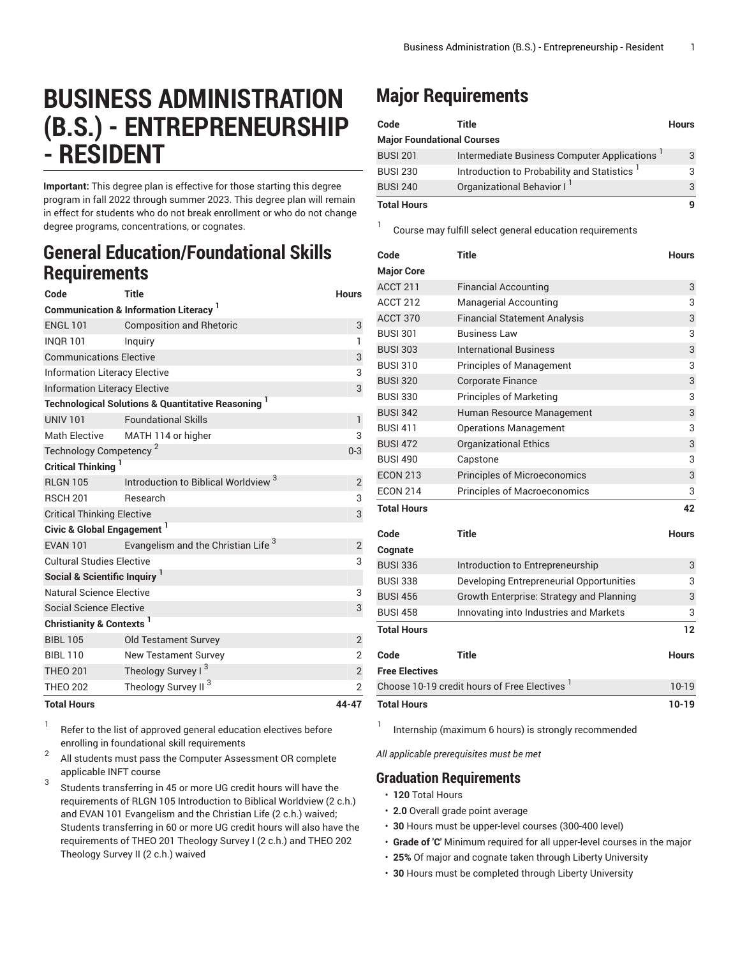# **BUSINESS ADMINISTRATION (B.S.) - ENTREPRENEURSHIP - RESIDENT**

**Important:** This degree plan is effective for those starting this degree program in fall 2022 through summer 2023. This degree plan will remain in effect for students who do not break enrollment or who do not change degree programs, concentrations, or cognates.

### **General Education/Foundational Skills Requirements**

| Code                                                          | <b>Title</b>                                    | <b>Hours</b>   |  |  |
|---------------------------------------------------------------|-------------------------------------------------|----------------|--|--|
| <b>Communication &amp; Information Literacy</b> <sup>1</sup>  |                                                 |                |  |  |
| <b>ENGL 101</b>                                               | <b>Composition and Rhetoric</b>                 | 3              |  |  |
| <b>INOR 101</b>                                               | Inquiry                                         | $\mathbf{1}$   |  |  |
| <b>Communications Elective</b>                                | 3                                               |                |  |  |
| <b>Information Literacy Elective</b>                          | 3                                               |                |  |  |
| <b>Information Literacy Elective</b>                          | 3                                               |                |  |  |
| <b>Technological Solutions &amp; Quantitative Reasoning 1</b> |                                                 |                |  |  |
| <b>UNIV 101</b>                                               | <b>Foundational Skills</b>                      | $\mathsf{I}$   |  |  |
| <b>Math Elective</b>                                          | MATH 114 or higher                              | 3              |  |  |
| Technology Competency <sup>2</sup>                            | $0 - 3$                                         |                |  |  |
| <b>Critical Thinking</b>                                      |                                                 |                |  |  |
| <b>RLGN 105</b>                                               | Introduction to Biblical Worldview <sup>3</sup> | $\overline{2}$ |  |  |
| <b>RSCH 201</b>                                               | Research                                        | 3              |  |  |
| <b>Critical Thinking Elective</b>                             | 3                                               |                |  |  |
| Civic & Global Engagement <sup>1</sup>                        |                                                 |                |  |  |
| <b>EVAN 101</b>                                               | Evangelism and the Christian Life <sup>3</sup>  | $\overline{2}$ |  |  |
| <b>Cultural Studies Elective</b>                              | 3                                               |                |  |  |
| Social & Scientific Inquiry <sup>1</sup>                      |                                                 |                |  |  |
| Natural Science Elective                                      | 3                                               |                |  |  |
| Social Science Elective                                       |                                                 | 3              |  |  |
| Christianity & Contexts <sup>1</sup>                          |                                                 |                |  |  |
| <b>BIBL 105</b>                                               | <b>Old Testament Survey</b>                     | $\overline{c}$ |  |  |
| <b>BIBL 110</b>                                               | <b>New Testament Survey</b>                     | $\overline{2}$ |  |  |
| <b>THEO 201</b>                                               | Theology Survey I <sup>3</sup>                  | $\overline{2}$ |  |  |
| <b>THEO 202</b>                                               | Theology Survey II <sup>3</sup>                 | $\overline{2}$ |  |  |
| <b>Total Hours</b>                                            |                                                 | 44-47          |  |  |

1 Refer to the list of approved general [education](https://www.liberty.edu/gened/) electives before enrolling in foundational skill requirements

2 All students must pass the [Computer Assessment](https://www.liberty.edu/computerassessment/) OR complete applicable INFT course

3 Students transferring in 45 or more UG credit hours will have the requirements of RLGN 105 Introduction to Biblical Worldview (2 c.h.) and EVAN 101 Evangelism and the Christian Life (2 c.h.) waived; Students transferring in 60 or more UG credit hours will also have the requirements of THEO 201 Theology Survey I (2 c.h.) and THEO 202 Theology Survey II (2 c.h.) waived

## **Major Requirements**

1

| Code                              | Title                                                   | <b>Hours</b> |
|-----------------------------------|---------------------------------------------------------|--------------|
| <b>Major Foundational Courses</b> |                                                         |              |
| <b>BUSI 201</b>                   | Intermediate Business Computer Applications             | 3            |
| <b>BUSI 230</b>                   | Introduction to Probability and Statistics <sup>1</sup> |              |
| <b>BUSI 240</b>                   | Organizational Behavior I                               | 3            |
| <b>Total Hours</b>                |                                                         |              |

Course may fulfill select general education [requirements](http://www.liberty.edu/academics/generalstudies/?PID=37563)

| Code                                                     | <b>Title</b>                             | <b>Hours</b> |
|----------------------------------------------------------|------------------------------------------|--------------|
| <b>Major Core</b>                                        |                                          |              |
| ACCT 211                                                 | <b>Financial Accounting</b>              | 3            |
| <b>ACCT 212</b>                                          | Managerial Accounting                    | 3            |
| <b>ACCT 370</b>                                          | <b>Financial Statement Analysis</b>      | 3            |
| <b>BUSI 301</b>                                          | <b>Business Law</b>                      | 3            |
| <b>BUSI 303</b>                                          | <b>International Business</b>            | 3            |
| <b>BUSI 310</b>                                          | <b>Principles of Management</b>          | 3            |
| <b>BUSI 320</b>                                          | <b>Corporate Finance</b>                 | 3            |
| <b>BUSI 330</b>                                          | <b>Principles of Marketing</b>           | 3            |
| <b>BUSI 342</b>                                          | Human Resource Management                | 3            |
| <b>BUSI 411</b>                                          | <b>Operations Management</b>             | 3            |
| <b>BUSI 472</b>                                          | <b>Organizational Ethics</b>             | 3            |
| <b>BUSI 490</b>                                          | Capstone                                 | 3            |
| <b>ECON 213</b>                                          | <b>Principles of Microeconomics</b>      | 3            |
| <b>ECON 214</b>                                          | Principles of Macroeconomics             | 3            |
| <b>Total Hours</b>                                       |                                          | 42           |
| Code                                                     | <b>Title</b>                             | <b>Hours</b> |
| Cognate                                                  |                                          |              |
| <b>BUSI 336</b>                                          | Introduction to Entrepreneurship         | 3            |
| <b>BUSI 338</b>                                          | Developing Entrepreneurial Opportunities | 3            |
| <b>BUSI 456</b>                                          | Growth Enterprise: Strategy and Planning | 3            |
| <b>BUSI 458</b>                                          | Innovating into Industries and Markets   | 3            |
| <b>Total Hours</b>                                       |                                          | 12           |
| Code                                                     | <b>Title</b>                             | <b>Hours</b> |
| <b>Free Electives</b>                                    |                                          |              |
| Choose 10-19 credit hours of Free Electives <sup>1</sup> |                                          | $10 - 19$    |
| <b>Total Hours</b>                                       |                                          |              |

1 Internship (maximum 6 hours) is strongly recommended

*All applicable prerequisites must be met*

### **Graduation Requirements**

• **120** Total Hours

- **2.0** Overall grade point average
- **30** Hours must be upper-level courses (300-400 level)
- **Grade of 'C'** Minimum required for all upper-level courses in the major
- **25%** Of major and cognate taken through Liberty University
- **30** Hours must be completed through Liberty University